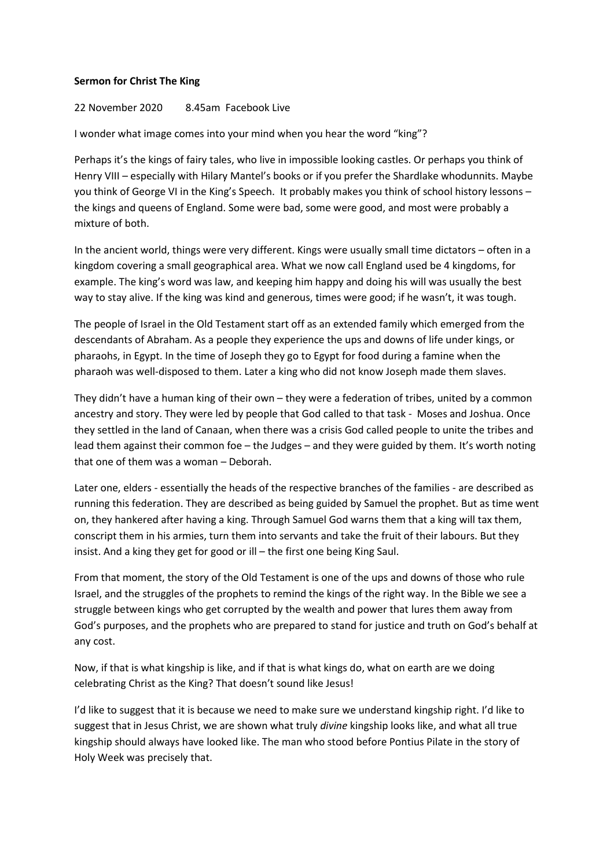## **Sermon for Christ The King**

## 22 November 2020 8.45am Facebook Live

I wonder what image comes into your mind when you hear the word "king"?

Perhaps it's the kings of fairy tales, who live in impossible looking castles. Or perhaps you think of Henry VIII – especially with Hilary Mantel's books or if you prefer the Shardlake whodunnits. Maybe you think of George VI in the King's Speech. It probably makes you think of school history lessons – the kings and queens of England. Some were bad, some were good, and most were probably a mixture of both.

In the ancient world, things were very different. Kings were usually small time dictators – often in a kingdom covering a small geographical area. What we now call England used be 4 kingdoms, for example. The king's word was law, and keeping him happy and doing his will was usually the best way to stay alive. If the king was kind and generous, times were good; if he wasn't, it was tough.

The people of Israel in the Old Testament start off as an extended family which emerged from the descendants of Abraham. As a people they experience the ups and downs of life under kings, or pharaohs, in Egypt. In the time of Joseph they go to Egypt for food during a famine when the pharaoh was well-disposed to them. Later a king who did not know Joseph made them slaves.

They didn't have a human king of their own – they were a federation of tribes, united by a common ancestry and story. They were led by people that God called to that task - Moses and Joshua. Once they settled in the land of Canaan, when there was a crisis God called people to unite the tribes and lead them against their common foe – the Judges – and they were guided by them. It's worth noting that one of them was a woman – Deborah.

Later one, elders - essentially the heads of the respective branches of the families - are described as running this federation. They are described as being guided by Samuel the prophet. But as time went on, they hankered after having a king. Through Samuel God warns them that a king will tax them, conscript them in his armies, turn them into servants and take the fruit of their labours. But they insist. And a king they get for good or ill – the first one being King Saul.

From that moment, the story of the Old Testament is one of the ups and downs of those who rule Israel, and the struggles of the prophets to remind the kings of the right way. In the Bible we see a struggle between kings who get corrupted by the wealth and power that lures them away from God's purposes, and the prophets who are prepared to stand for justice and truth on God's behalf at any cost.

Now, if that is what kingship is like, and if that is what kings do, what on earth are we doing celebrating Christ as the King? That doesn't sound like Jesus!

I'd like to suggest that it is because we need to make sure we understand kingship right. I'd like to suggest that in Jesus Christ, we are shown what truly *divine* kingship looks like, and what all true kingship should always have looked like. The man who stood before Pontius Pilate in the story of Holy Week was precisely that.